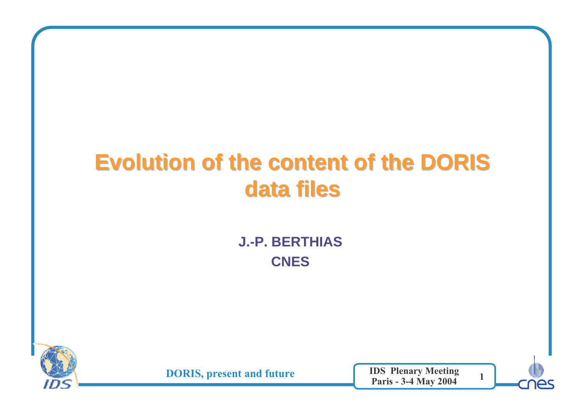## **Evolution of the content of the DORIS data files**

**J.-P. BERTHIASCNES**



**DORIS, present and future** 

e IDS Plenary Meeting<br>Paris 3.4 May 2004 Paris - 3-4 May 2004

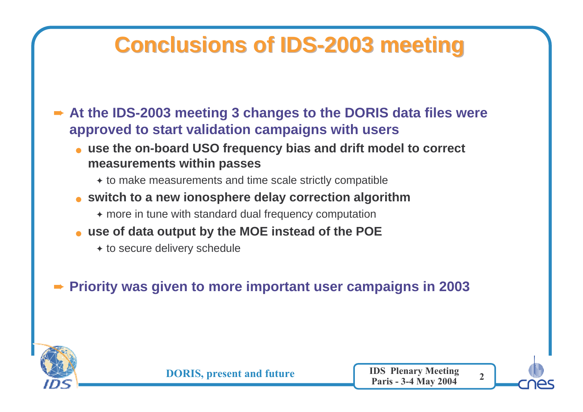### **Conclusions of IDS-2003 meeting**

**► At the IDS-2003 meeting 3 changes to the DORIS data files were approved to start validation campaigns with users**

- **use the on-board USO frequency bias and drift model to correct measurements within passes**
	- ✦ to make measurements and time scale strictly compatible
- **switch to a new ionosphere delay correction algorithm**
	- ✦ more in tune with standard dual frequency computation
- **use of data output by the MOE instead of the POE**
	- ◆ to secure delivery schedule

➨**Priority was given to more important user campaigns in 2003**

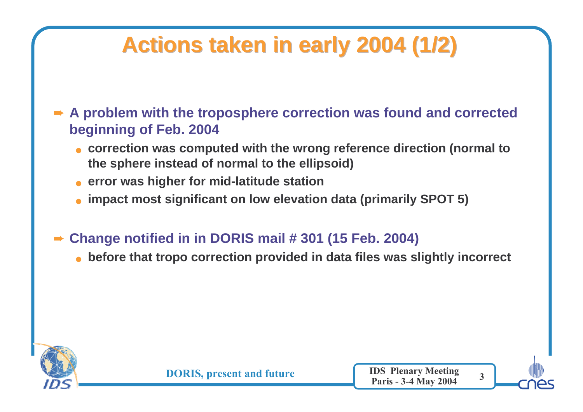# **Actions taken in early 2004 (1/2)**

**► A problem with the troposphere correction was found and corrected boginning of Eeb 2004 beginning of Feb. 2004**

- **correction was computed with the wrong reference direction (normal to the sphere instead of normal to the ellipsoid)**
- **error was higher for mid-latitude station**
- **impact most significant on low elevation data (primarily SPOT 5)**
- ➨ **Change notified in in DORIS mail # 301 (15 Feb. 2004)**
	- **before that tropo correction provided in data files was slightly incorrect**



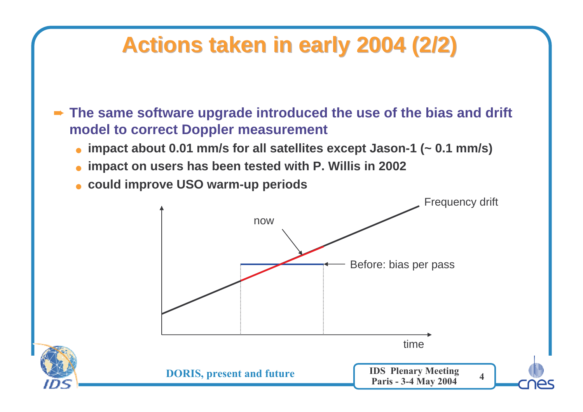### **Actions taken in early 2004 (2/2)**

**► The same software upgrade introduced the use of the bias and drift model to correct Deppler measurement model to correct Doppler measurement**

- ●**impact about 0.01 mm/s for all satellites except Jason-1 (~ 0.1 mm/s)**
- **impact on users has been tested with P. Willis in 2002**
- **could improve USO warm-up periods**

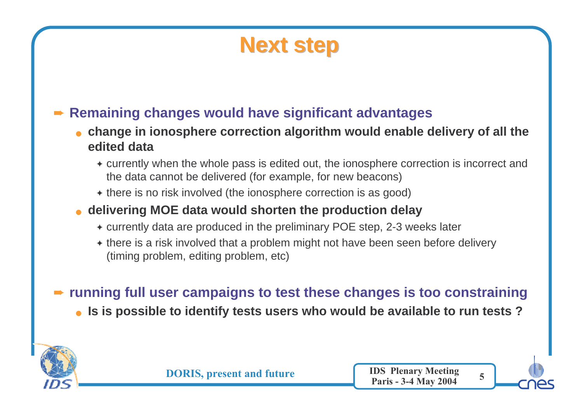#### **Next step**

#### ➨ **Remaining changes would have significant advantages**

- **change in ionosphere correction algorithm would enable delivery of all the edited data**
	- ✦ currently when the whole pass is edited out, the ionosphere correction is incorrect and the data cannot be delivered (for example, for new beacons)
	- $\bullet$  there is no risk involved (the ionosphere correction is as good)

#### ● **delivering MOE data would shorten the production delay**

- ✦ currently data are produced in the preliminary POE step, 2-3 weeks later
- ✦ there is a risk involved that a problem might not have been seen before delivery (timing problem, editing problem, etc)

### **► running full user campaigns to test these changes is too constraining**

● **Is is possible to identify tests users who would be available to run tests ?**



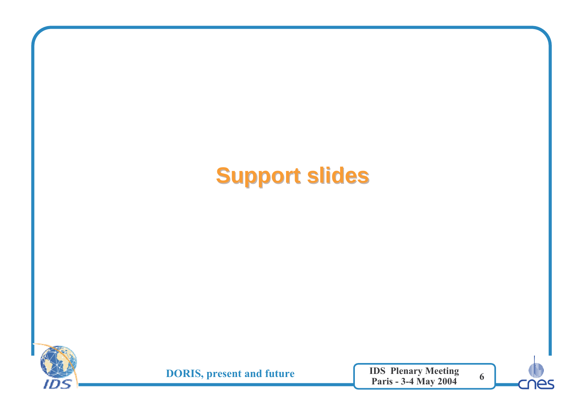# **Support slides**



**DORIS, present and future** 

e IDS Plenary Meeting<br>Paris 3.4 May 2004 Paris - 3-4 May 2004



6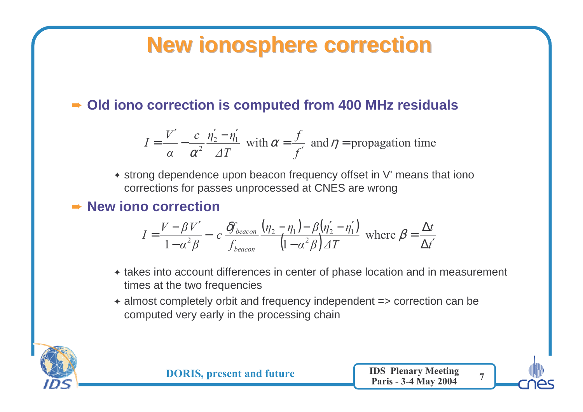### **New ionosphere correction**

#### ➨ **Old iono correction is computed from 400 MHz residuals**

$$
I = \frac{V'}{\alpha} - \frac{c}{\alpha^2} \frac{\eta'_2 - \eta'_1}{\Delta T}
$$
 with  $\alpha = \frac{f}{f'}$  and  $\eta$  = propagation time

✦ strong dependence upon beacon frequency offset in V' means that iono corrections for passes unprocessed at CNES are wrong

#### ➨ **New iono correction**

$$
I = \frac{V - \beta V'}{1 - \alpha^2 \beta} - c \frac{\delta f_{beacon}}{f_{beacon}} \frac{(\eta_2 - \eta_1) - \beta (\eta'_2 - \eta'_1)}{(1 - \alpha^2 \beta) \Delta T} \text{ where } \beta = \frac{\Delta t}{\Delta t'}
$$

- ✦ takes into account differences in center of phase location and in measurement times at the two frequencies
- ✦ almost completely orbit and frequency independent => correction can be computed very early in the processing chain



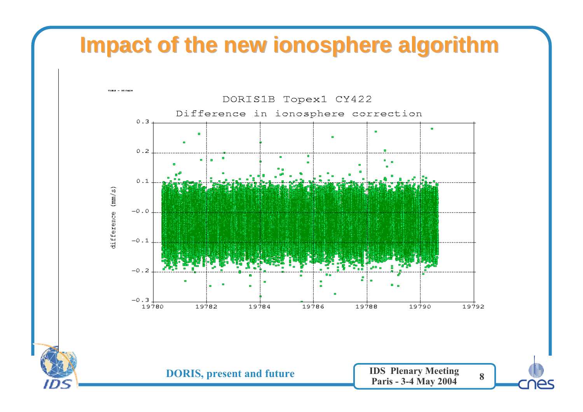#### **Impact of the new ionosphere algorithm**

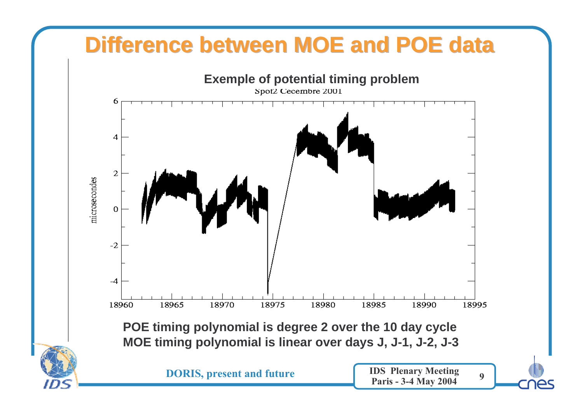